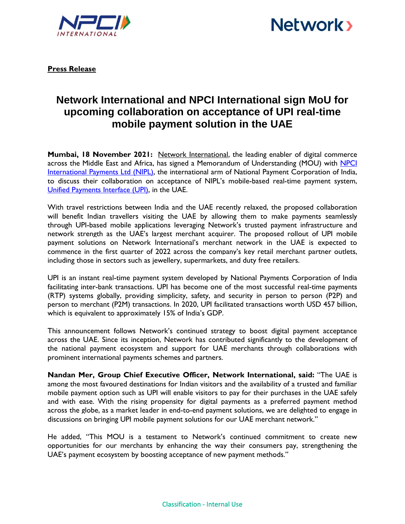



**Press Release**

## **Network International and NPCI International sign MoU for upcoming collaboration on acceptance of UPI real-time mobile payment solution in the UAE**

**Mumbai, 18 November 2021:** [Network International,](http://www.network.ae/) the leading enabler of digital commerce across the Middle East and Africa, has signed a Memorandum of Understanding (MOU) with NPCI [International Payments Ltd \(NIPL\),](https://www.npci.org.in/who-we-are/group-companies/npci-international) the international arm of National Payment Corporation of India, to discuss their collaboration on acceptance of NIPL's mobile-based real-time payment system, [Unified Payments Interface \(UPI\),](https://www.npci.org.in/what-we-do/upi/product-overview) in the UAE.

With travel restrictions between India and the UAE recently relaxed, the proposed collaboration will benefit Indian travellers visiting the UAE by allowing them to make payments seamlessly through UPI-based mobile applications leveraging Network's trusted payment infrastructure and network strength as the UAE's largest merchant acquirer. The proposed rollout of UPI mobile payment solutions on Network International's merchant network in the UAE is expected to commence in the first quarter of 2022 across the company's key retail merchant partner outlets, including those in sectors such as jewellery, supermarkets, and duty free retailers.

UPI is an instant real-time payment system developed by National Payments Corporation of India facilitating inter-bank transactions. UPI has become one of the most successful real-time payments (RTP) systems globally, providing simplicity, safety, and security in person to person (P2P) and person to merchant (P2M) transactions. In 2020, UPI facilitated transactions worth USD 457 billion, which is equivalent to approximately 15% of India's GDP.

This announcement follows Network's continued strategy to boost digital payment acceptance across the UAE. Since its inception, Network has contributed significantly to the development of the national payment ecosystem and support for UAE merchants through collaborations with prominent international payments schemes and partners.

**Nandan Mer, Group Chief Executive Officer, Network International, said:** "The UAE is among the most favoured destinations for Indian visitors and the availability of a trusted and familiar mobile payment option such as UPI will enable visitors to pay for their purchases in the UAE safely and with ease. With the rising propensity for digital payments as a preferred payment method across the globe, as a market leader in end-to-end payment solutions, we are delighted to engage in discussions on bringing UPI mobile payment solutions for our UAE merchant network."

He added, "This MOU is a testament to Network's continued commitment to create new opportunities for our merchants by enhancing the way their consumers pay, strengthening the UAE's payment ecosystem by boosting acceptance of new payment methods."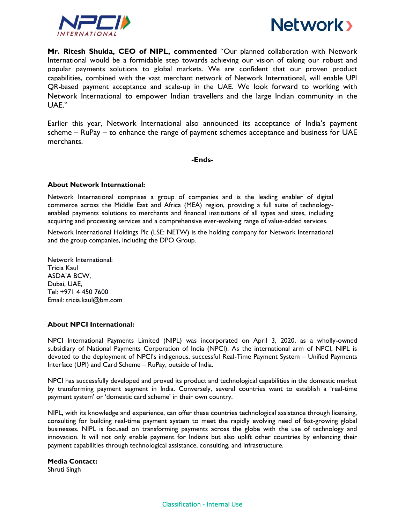



**Mr. Ritesh Shukla, CEO of NIPL, commented** "Our planned collaboration with Network International would be a formidable step towards achieving our vision of taking our robust and popular payments solutions to global markets. We are confident that our proven product capabilities, combined with the vast merchant network of Network International, will enable UPI QR-based payment acceptance and scale-up in the UAE. We look forward to working with Network International to empower Indian travellers and the large Indian community in the UAE."

Earlier this year, Network International also announced its acceptance of India's payment scheme – RuPay – to enhance the range of payment schemes acceptance and business for UAE merchants.

**-Ends-**

## **About Network International:**

Network International comprises a group of companies and is the leading enabler of digital commerce across the Middle East and Africa (MEA) region, providing a full suite of technologyenabled payments solutions to merchants and financial institutions of all types and sizes, including acquiring and processing services and a comprehensive ever-evolving range of value-added services.

Network International Holdings Plc (LSE: NETW) is the holding company for Network International and the group companies, including the DPO Group.

Network International: Tricia Kaul ASDA'A BCW, Dubai, UAE, Tel: +971 4 450 7600 Email: tricia.kaul@bm.com

## **About NPCI International:**

NPCI International Payments Limited (NIPL) was incorporated on April 3, 2020, as a wholly-owned subsidiary of National Payments Corporation of India (NPCI). As the international arm of NPCI, NIPL is devoted to the deployment of NPCI's indigenous, successful Real-Time Payment System – Unified Payments Interface (UPI) and Card Scheme – RuPay, outside of India.

NPCI has successfully developed and proved its product and technological capabilities in the domestic market by transforming payment segment in India. Conversely, several countries want to establish a 'real-time payment system' or 'domestic card scheme' in their own country.

NIPL, with its knowledge and experience, can offer these countries technological assistance through licensing, consulting for building real-time payment system to meet the rapidly evolving need of fast-growing global businesses. NIPL is focused on transforming payments across the globe with the use of technology and innovation. It will not only enable payment for Indians but also uplift other countries by enhancing their payment capabilities through technological assistance, consulting, and infrastructure.

## **Media Contact:**

Shruti Singh